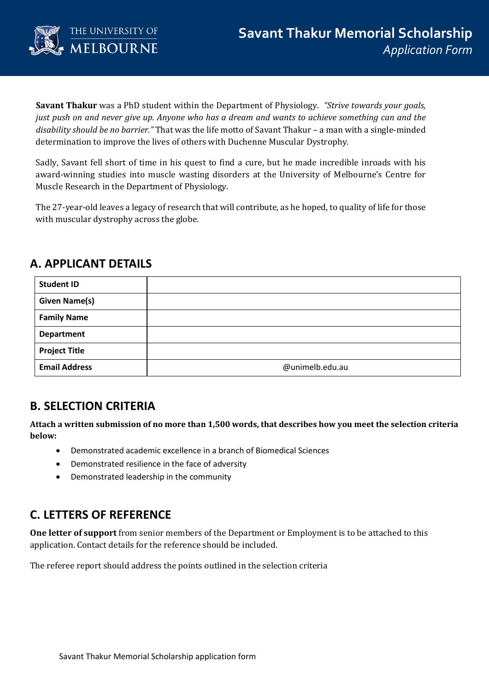

**Savant Thakur** was a PhD student within the Department of Physiology. *"Strive towards your goals, just push on and never give up. Anyone who has a dream and wants to achieve something can and the disability should be no barrier."* That was the life motto of Savant Thakur – a man with a single-minded determination to improve the lives of others with Duchenne Muscular Dystrophy.

Sadly, Savant fell short of time in his quest to find a cure, but he made incredible inroads with his award-winning studies into muscle wasting disorders at the University of Melbourne's Centre for Muscle Research in the Department of Physiology.

The 27-year-old leaves a legacy of research that will contribute, as he hoped, to quality of life for those with muscular dystrophy across the globe.

# **A. APPLICANT DETAILS**

| <b>Student ID</b>    |                 |
|----------------------|-----------------|
| <b>Given Name(s)</b> |                 |
| <b>Family Name</b>   |                 |
| <b>Department</b>    |                 |
| <b>Project Title</b> |                 |
| <b>Email Address</b> | @unimelb.edu.au |

## **B. SELECTION CRITERIA**

**Attach a written submission of no more than 1,500 words, that describes how you meet the selection criteria below:**

- Demonstrated academic excellence in a branch of Biomedical Sciences
- Demonstrated resilience in the face of adversity
- Demonstrated leadership in the community

## **C. LETTERS OF REFERENCE**

**One letter of support** from senior members of the Department or Employment is to be attached to this application. Contact details for the reference should be included.

The referee report should address the points outlined in the selection criteria